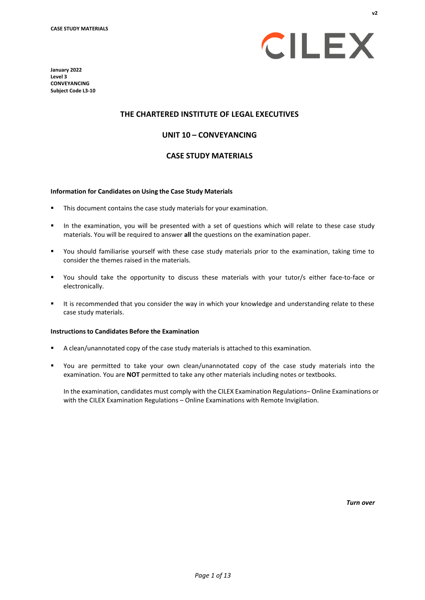



#### **THE CHARTERED INSTITUTE OF LEGAL EXECUTIVES**

#### **UNIT 10 – CONVEYANCING**

#### **CASE STUDY MATERIALS**

#### **Information for Candidates on Using the Case Study Materials**

- This document contains the case study materials for your examination.
- In the examination, you will be presented with a set of questions which will relate to these case study materials. You will be required to answer **all** the questions on the examination paper.
- You should familiarise yourself with these case study materials prior to the examination, taking time to consider the themes raised in the materials.
- You should take the opportunity to discuss these materials with your tutor/s either face-to-face or electronically.
- It is recommended that you consider the way in which your knowledge and understanding relate to these case study materials.

#### **Instructionsto Candidates Before the Examination**

- A clean/unannotated copy of the case study materials is attached to this examination.
- You are permitted to take your own clean/unannotated copy of the case study materials into the examination. You are **NOT** permitted to take any other materials including notes or textbooks.

In the examination, candidates must comply with the CILEX Examination Regulations– Online Examinations or with the CILEX Examination Regulations – Online Examinations with Remote Invigilation.

*Turn over*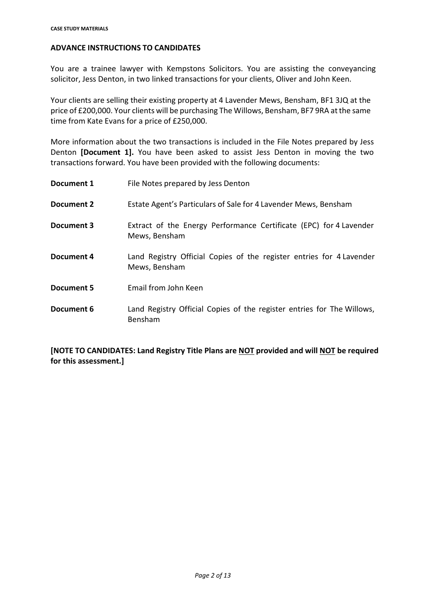#### **ADVANCE INSTRUCTIONS TO CANDIDATES**

You are a trainee lawyer with Kempstons Solicitors. You are assisting the conveyancing solicitor, Jess Denton, in two linked transactions for your clients, Oliver and John Keen.

Your clients are selling their existing property at 4 Lavender Mews, Bensham, BF1 3JQ at the price of £200,000. Your clients will be purchasing The Willows, Bensham, BF7 9RA atthe same time from Kate Evans for a price of £250,000.

More information about the two transactions is included in the File Notes prepared by Jess Denton **[Document 1].** You have been asked to assist Jess Denton in moving the two transactions forward. You have been provided with the following documents:

| Document 1        | File Notes prepared by Jess Denton                                                    |
|-------------------|---------------------------------------------------------------------------------------|
| Document 2        | Estate Agent's Particulars of Sale for 4 Lavender Mews, Bensham                       |
| Document 3        | Extract of the Energy Performance Certificate (EPC) for 4 Lavender<br>Mews, Bensham   |
| Document 4        | Land Registry Official Copies of the register entries for 4 Lavender<br>Mews, Bensham |
| <b>Document 5</b> | Email from John Keen                                                                  |
| Document 6        | Land Registry Official Copies of the register entries for The Willows,<br>Bensham     |

**[NOTE TO CANDIDATES: Land Registry Title Plans are NOT provided and will NOT be required for this assessment.]**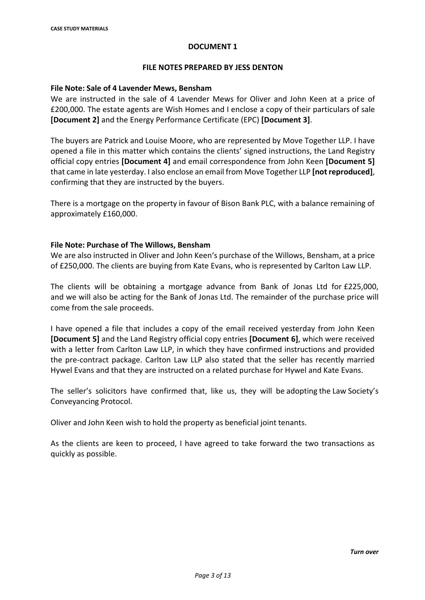#### **FILE NOTES PREPARED BY JESS DENTON**

#### **File Note: Sale of 4 Lavender Mews, Bensham**

We are instructed in the sale of 4 Lavender Mews for Oliver and John Keen at a price of £200,000. The estate agents are Wish Homes and I enclose a copy of their particulars of sale **[Document 2]** and the Energy Performance Certificate (EPC) **[Document 3]**.

The buyers are Patrick and Louise Moore, who are represented by Move Together LLP. I have opened a file in this matter which contains the clients' signed instructions, the Land Registry official copy entries **[Document 4]** and email correspondence from John Keen **[Document 5]** that came in late yesterday. I also enclose an email from Move Together LLP **[not reproduced]**, confirming that they are instructed by the buyers.

There is a mortgage on the property in favour of Bison Bank PLC, with a balance remaining of approximately £160,000.

#### **File Note: Purchase of The Willows, Bensham**

We are also instructed in Oliver and John Keen's purchase of the Willows, Bensham, at a price of £250,000. The clients are buying from Kate Evans, who is represented by Carlton Law LLP.

The clients will be obtaining a mortgage advance from Bank of Jonas Ltd for £225,000, and we will also be acting for the Bank of Jonas Ltd. The remainder of the purchase price will come from the sale proceeds.

I have opened a file that includes a copy of the email received yesterday from John Keen **[Document 5]** and the Land Registry official copy entries **[Document 6]**, which were received with a letter from Carlton Law LLP, in which they have confirmed instructions and provided the pre-contract package. Carlton Law LLP also stated that the seller has recently married Hywel Evans and that they are instructed on a related purchase for Hywel and Kate Evans.

The seller's solicitors have confirmed that, like us, they will be adopting the Law Society's Conveyancing Protocol.

Oliver and John Keen wish to hold the property as beneficial joint tenants.

As the clients are keen to proceed, I have agreed to take forward the two transactions as quickly as possible.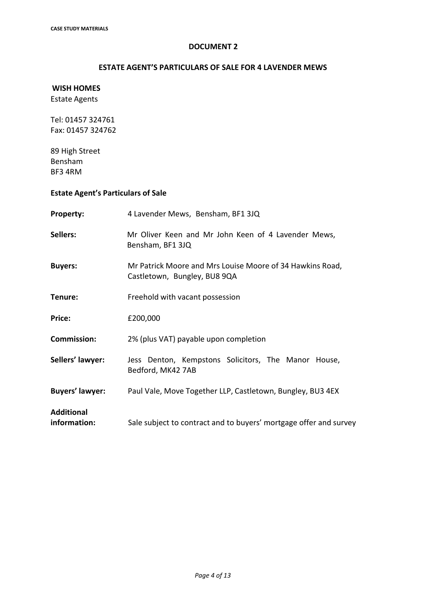### **ESTATE AGENT'S PARTICULARS OF SALE FOR 4 LAVENDER MEWS**

### **WISH HOMES** Estate Agents

Tel: 01457 324761 Fax: 01457 324762

89 High Street Bensham BF3 4RM

# **Estate Agent's Particulars of Sale**

| <b>Property:</b>                  | 4 Lavender Mews, Bensham, BF1 3JQ                                                         |  |  |
|-----------------------------------|-------------------------------------------------------------------------------------------|--|--|
| Sellers:                          | Mr Oliver Keen and Mr John Keen of 4 Lavender Mews,<br>Bensham, BF1 3JQ                   |  |  |
| <b>Buyers:</b>                    | Mr Patrick Moore and Mrs Louise Moore of 34 Hawkins Road,<br>Castletown, Bungley, BU8 9QA |  |  |
| Tenure:                           | Freehold with vacant possession                                                           |  |  |
| Price:                            | £200,000                                                                                  |  |  |
| <b>Commission:</b>                | 2% (plus VAT) payable upon completion                                                     |  |  |
| Sellers' lawyer:                  | Jess Denton, Kempstons Solicitors, The Manor House,<br>Bedford, MK42 7AB                  |  |  |
| <b>Buyers' lawyer:</b>            | Paul Vale, Move Together LLP, Castletown, Bungley, BU3 4EX                                |  |  |
| <b>Additional</b><br>information: | Sale subject to contract and to buyers' mortgage offer and survey                         |  |  |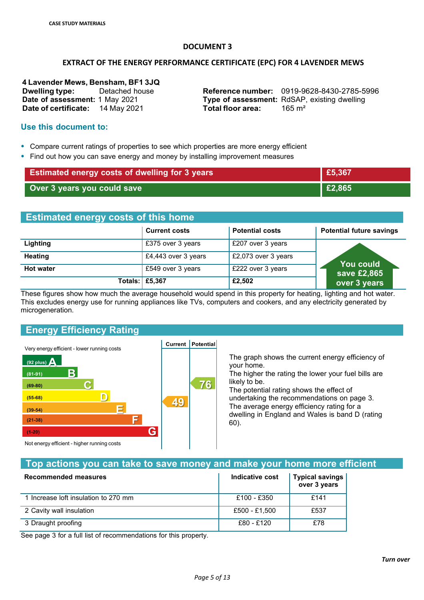#### **EXTRACT OF THE ENERGY PERFORMANCE CERTIFICATE (EPC) FOR 4 LAVENDER MEWS**

**4 Lavender Mews, Bensham, BF1 3JQ Date of assessment:** 1 May 2021 **Date of certificate:** 14 May 2021

**Dwelling type:** Detached house **Reference number:** 0919-9628-8430-2785-5996 **Type of assessment:** RdSAP, existing dwelling<br> **Total floor area:** 165 m<sup>2</sup> **Total floor area:** 

#### **Use this document to:**

- Compare current ratings of properties to see which properties are more energy efficient
- Find out how you can save energy and money by installing improvement measures

| <b>Estimated energy costs of dwelling for 3 years</b> | £5,367         |
|-------------------------------------------------------|----------------|
| Over 3 years you could save                           | $\vert$ £2,865 |

### **Estimated energy costs of this home**

|                  | <b>Current costs</b>  | <b>Potential costs</b> | <b>Potential future savings</b> |
|------------------|-----------------------|------------------------|---------------------------------|
| Lighting         | £375 over 3 years     | £207 over 3 years      |                                 |
| <b>Heating</b>   | £4,443 over 3 years   | £2,073 over 3 years    | <b>You could</b>                |
| <b>Hot water</b> | £549 over 3 years     | £222 over 3 years      | save £2,865                     |
|                  | <b>Totals: £5,367</b> | £2,502                 | over 3 years                    |

These figures show how much the average household would spend in this property for heating, lighting and hot water. This excludes energy use for running appliances like TVs, computers and cookers, and any electricity generated by microgeneration.

# **Energy Efficiency Rating**



The graph shows the current energy efficiency of your home.

The higher the rating the lower your fuel bills are likely to be.

The potential rating shows the effect of undertaking the recommendations on page 3. The average energy efficiency rating for a dwelling in England and Wales is band D (rating 60).

Not energy efficient - higher running costs

# **Top actions you can take to save money and make your home more efficient**

**76**

| Recommended measures                 | Indicative cost | <b>Typical savings</b><br>over 3 years |
|--------------------------------------|-----------------|----------------------------------------|
| 1 Increase loft insulation to 270 mm | £100 - £350     | £141                                   |
| 2 Cavity wall insulation             | £500 - £1,500   | £537                                   |
| 3 Draught proofing                   | £80 - £120      | £78                                    |

See page 3 for a full list of recommendations for this property.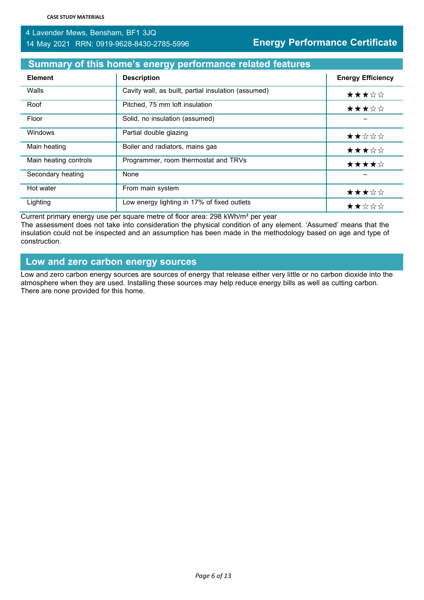# 4 Lavender Mews, Bensham, BF1 3JQ 14 May 2021 RRN: 0919-9628-8430-2785-5996 **Energy Performance Certificate**

# **Summary of this home's energy performance related features**

| <b>Element</b>        | <b>Description</b>                                  | <b>Energy Efficiency</b> |
|-----------------------|-----------------------------------------------------|--------------------------|
| Walls                 | Cavity wall, as built, partial insulation (assumed) | ★★★☆☆                    |
| Roof                  | Pitched, 75 mm loft insulation                      | ★★★☆☆                    |
| Floor                 | Solid, no insulation (assumed)                      |                          |
| <b>Windows</b>        | Partial double glazing                              | ★★☆☆☆                    |
| Main heating          | Boiler and radiators, mains gas                     | ★★★☆☆                    |
| Main heating controls | Programmer, room thermostat and TRVs                | ★★★★☆                    |
| Secondary heating     | None                                                |                          |
| Hot water             | From main system                                    | ★★★☆☆                    |
| Lighting              | Low energy lighting in 17% of fixed outlets         | ★★☆☆☆                    |

Current primary energy use per square metre of floor area: 298 kWh/m² per year

The assessment does not take into consideration the physical condition of any element. 'Assumed' means that the insulation could not be inspected and an assumption has been made in the methodology based on age and type of construction.

# **Low and zero carbon energy sources**

Low and zero carbon energy sources are sources of energy that release either very little or no carbon dioxide into the atmosphere when they are used. Installing these sources may help reduce energy bills as well as cutting carbon. There are none provided for this home.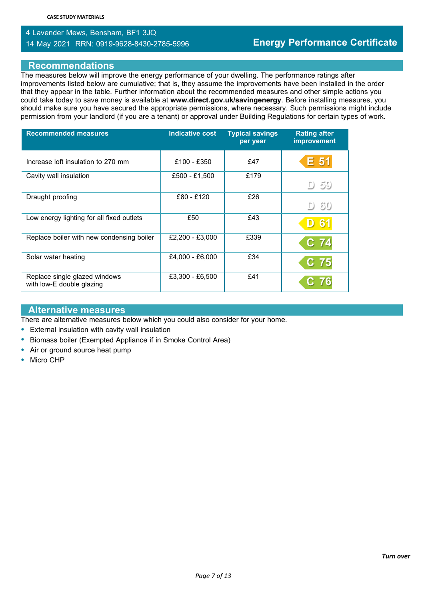# 4 Lavender Mews, Bensham, BF1 3JQ 14 May 2021 RRN: 0919-9628-8430-2785-5996 **Energy Performance Certificate**

#### **Recommendations**

The measures below will improve the energy performance of your dwelling. The performance ratings after improvements listed below are cumulative; that is, they assume the improvements have been installed in the order that they appear in the table. Further information about the recommended measures and other simple actions you could take today to save money is available at **www.direct.gov.uk/savingenergy**. Before installing measures, you should make sure you have secured the appropriate permissions, where necessary. Such permissions might include permission from your landlord (if you are a tenant) or approval under Building Regulations for certain types of work.

| <b>Recommended measures</b>                                | <b>Indicative cost</b> | <b>Typical savings</b><br>per year | <b>Rating after</b><br>improvement |
|------------------------------------------------------------|------------------------|------------------------------------|------------------------------------|
| Increase loft insulation to 270 mm                         | £100 - £350            | £47                                | E 51                               |
| Cavity wall insulation                                     | £500 - £1,500          | £179                               | D 59                               |
| Draught proofing                                           | £80 - £120             | £26                                | $D \delta 0$                       |
| Low energy lighting for all fixed outlets                  | £50                    | £43                                | 6'<br>D                            |
| Replace boiler with new condensing boiler                  | £2,200 - £3,000        | £339                               | $\mathbf C^-$<br>74                |
| Solar water heating                                        | £4,000 - £6,000        | £34                                | C.<br>75                           |
| Replace single glazed windows<br>with low-E double glazing | £3,300 - £6,500        | £41                                |                                    |

#### **Alternative measures**

There are alternative measures below which you could also consider for your home.

- External insulation with cavity wall insulation
- Biomass boiler (Exempted Appliance if in Smoke Control Area)
- Air or ground source heat pump
- Micro CHP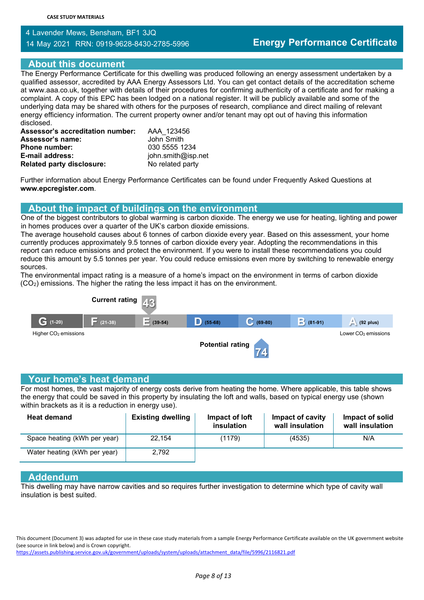# 4 Lavender Mews, Bensham, BF1 3JQ

14 May 2021 RRN: 0919-9628-8430-2785-5996 **Energy Performance Certificate**

#### **About this document**

The Energy Performance Certificate for this dwelling was produced following an energy assessment undertaken by a qualified assessor, accredited by AAA Energy Assessors Ltd. You can get contact details of the accreditation scheme at www.aaa.co.uk, together with details of their procedures for confirming authenticity of a certificate and for making a complaint. A copy of this EPC has been lodged on a national register. It will be publicly available and some of the underlying data may be shared with others for the purposes of research, compliance and direct mailing of relevant energy efficiency information. The current property owner and/or tenant may opt out of having this information disclosed.

| <b>Assessor's accreditation number:</b> | AAA 123456         |
|-----------------------------------------|--------------------|
| <b>Assessor's name:</b>                 | John Smith         |
| <b>Phone number:</b>                    | 030 5555 1234      |
| E-mail address:                         | john.smith@isp.net |
| <b>Related party disclosure:</b>        | No related party   |

Further information about Energy Performance Certificates can be found under Frequently Asked Questions at **www.epcregister.com**.

### **About the impact of buildings on the environment**

One of the biggest contributors to global warming is carbon dioxide. The energy we use for heating, lighting and power in homes produces over a quarter of the UK's carbon dioxide emissions.

The average household causes about 6 tonnes of carbon dioxide every year. Based on this assessment, your home currently produces approximately 9.5 tonnes of carbon dioxide every year. Adopting the recommendations in this report can reduce emissions and protect the environment. If you were to install these recommendations you could reduce this amount by 5.5 tonnes per year. You could reduce emissions even more by switching to renewable energy sources.

The environmental impact rating is a measure of a home's impact on the environment in terms of carbon dioxide (CO2) emissions. The higher the rating the less impact it has on the environment.



#### **Your home's heat demand**

For most homes, the vast majority of energy costs derive from heating the home. Where applicable, this table shows the energy that could be saved in this property by insulating the loft and walls, based on typical energy use (shown within brackets as it is a reduction in energy use).

| <b>Heat demand</b>           | <b>Existing dwelling</b> | Impact of loft<br>insulation | Impact of cavity<br>wall insulation | Impact of solid<br>wall insulation |
|------------------------------|--------------------------|------------------------------|-------------------------------------|------------------------------------|
| Space heating (kWh per year) | 22.154                   | (1179)                       | (4535)                              | N/A                                |
| Water heating (kWh per year) | 2,792                    |                              |                                     |                                    |

#### **Addendum**

This dwelling may have narrow cavities and so requires further investigation to determine which type of cavity wall insulation is best suited.

This document (Document 3) was adapted for use in these case study materials from a sample Energy Performance Certificate available on the UK government website (see source in link below) and is Crown copyright. https://assets.publishing.service.gov.uk/government/uploads/system/uploads/attachment\_data/file/5996/2116821.pdf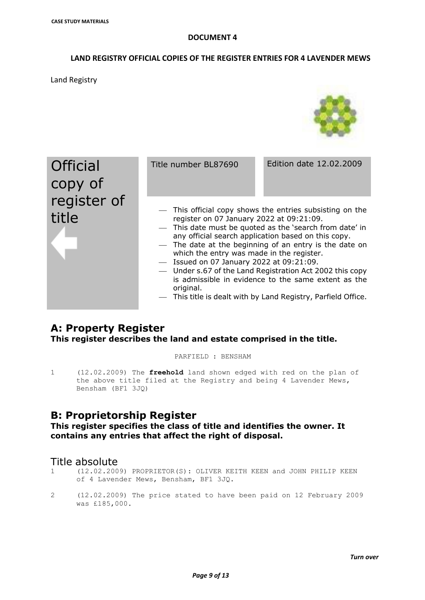#### **LAND REGISTRY OFFICIAL COPIES OF THE REGISTER ENTRIES FOR 4 LAVENDER MEWS**

Land Registry



# **A: Property Register This register describes the land and estate comprised in the title.**

PARFIELD : BENSHAM

1 (12.02.2009) The **freehold** land shown edged with red on the plan of the above title filed at the Registry and being 4 Lavender Mews, Bensham (BF1 3JQ)

# **B: Proprietorship Register**

### **This register specifies the class of title and identifies the owner. It contains any entries that affect the right of disposal.**

# Title absolute

- 1 (12.02.2009) PROPRIETOR(S): OLIVER KEITH KEEN and JOHN PHILIP KEEN of 4 Lavender Mews, Bensham, BF1 3JQ.
- 2 (12.02.2009) The price stated to have been paid on 12 February 2009 was £185,000.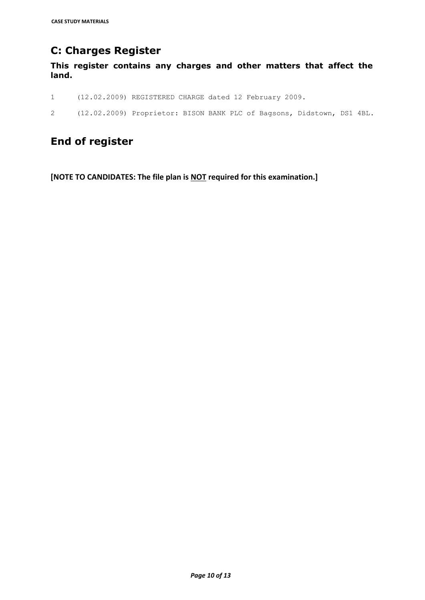# **C: Charges Register**

**This register contains any charges and other matters that affect the land.**

- 1 (12.02.2009) REGISTERED CHARGE dated 12 February 2009.
- 2 (12.02.2009) Proprietor: BISON BANK PLC of Bagsons, Didstown, DS1 4BL.

# **End of register**

**[NOTE TO CANDIDATES: The file plan is NOT required for this examination.]**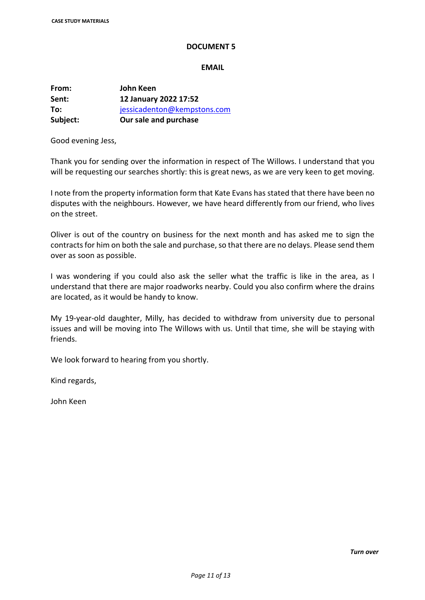#### **EMAIL**

**From: John Keen Sent: 12 January 2022 17:52 To:** jessicadenton@kempstons.com **Subject: Our sale and purchase**

Good evening Jess,

Thank you for sending over the information in respect of The Willows. I understand that you will be requesting our searches shortly: this is great news, as we are very keen to get moving.

I note from the property information form that Kate Evans has stated that there have been no disputes with the neighbours. However, we have heard differently from our friend, who lives on the street.

Oliver is out of the country on business for the next month and has asked me to sign the contracts for him on both the sale and purchase, so that there are no delays. Please send them over as soon as possible.

I was wondering if you could also ask the seller what the traffic is like in the area, as I understand that there are major roadworks nearby. Could you also confirm where the drains are located, as it would be handy to know.

My 19-year-old daughter, Milly, has decided to withdraw from university due to personal issues and will be moving into The Willows with us. Until that time, she will be staying with friends.

We look forward to hearing from you shortly.

Kind regards,

John Keen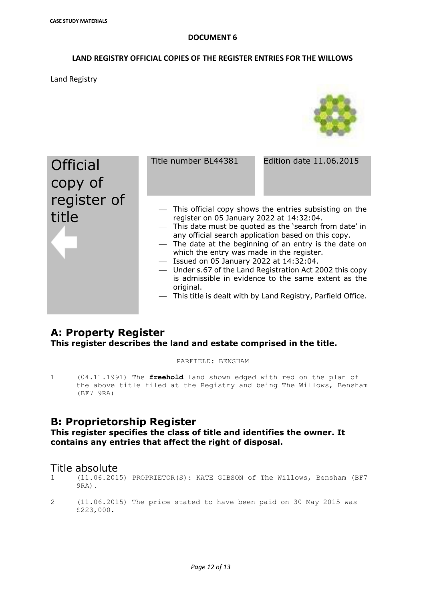#### **LAND REGISTRY OFFICIAL COPIES OF THE REGISTER ENTRIES FOR THE WILLOWS**

Land Registry



#### This title is dealt with by Land Registry, Parfield Office.

# **A: Property Register This register describes the land and estate comprised in the title.**

PARFIELD: BENSHAM

1 (04.11.1991) The **freehold** land shown edged with red on the plan of the above title filed at the Registry and being The Willows, Bensham (BF7 9RA)

# **B: Proprietorship Register**

**This register specifies the class of title and identifies the owner. It contains any entries that affect the right of disposal.**

# Title absolute

- 1 (11.06.2015) PROPRIETOR(S): KATE GIBSON of The Willows, Bensham (BF7 9RA).
- 2 (11.06.2015) The price stated to have been paid on 30 May 2015 was £223,000.